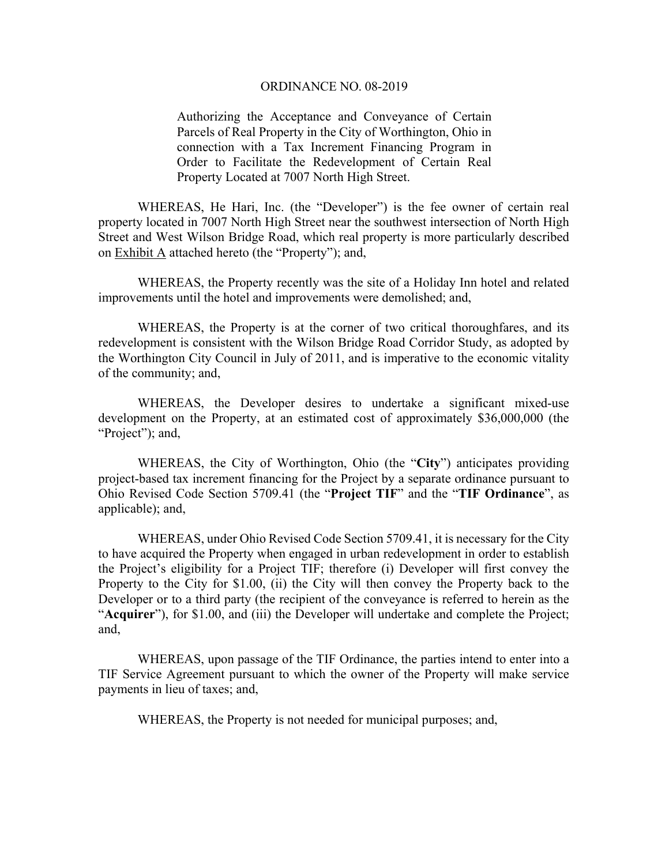#### ORDINANCE NO. 08-2019

Authorizing the Acceptance and Conveyance of Certain Parcels of Real Property in the City of Worthington, Ohio in connection with a Tax Increment Financing Program in Order to Facilitate the Redevelopment of Certain Real Property Located at 7007 North High Street.

 WHEREAS, He Hari, Inc. (the "Developer") is the fee owner of certain real property located in 7007 North High Street near the southwest intersection of North High Street and West Wilson Bridge Road, which real property is more particularly described on Exhibit A attached hereto (the "Property"); and,

 WHEREAS, the Property recently was the site of a Holiday Inn hotel and related improvements until the hotel and improvements were demolished; and,

 WHEREAS, the Property is at the corner of two critical thoroughfares, and its redevelopment is consistent with the Wilson Bridge Road Corridor Study, as adopted by the Worthington City Council in July of 2011, and is imperative to the economic vitality of the community; and,

 WHEREAS, the Developer desires to undertake a significant mixed-use development on the Property, at an estimated cost of approximately \$36,000,000 (the "Project"); and,

 WHEREAS, the City of Worthington, Ohio (the "**City**") anticipates providing project-based tax increment financing for the Project by a separate ordinance pursuant to Ohio Revised Code Section 5709.41 (the "**Project TIF**" and the "**TIF Ordinance**", as applicable); and,

 WHEREAS, under Ohio Revised Code Section 5709.41, it is necessary for the City to have acquired the Property when engaged in urban redevelopment in order to establish the Project's eligibility for a Project TIF; therefore (i) Developer will first convey the Property to the City for \$1.00, (ii) the City will then convey the Property back to the Developer or to a third party (the recipient of the conveyance is referred to herein as the "**Acquirer**"), for \$1.00, and (iii) the Developer will undertake and complete the Project; and,

 WHEREAS, upon passage of the TIF Ordinance, the parties intend to enter into a TIF Service Agreement pursuant to which the owner of the Property will make service payments in lieu of taxes; and,

WHEREAS, the Property is not needed for municipal purposes; and,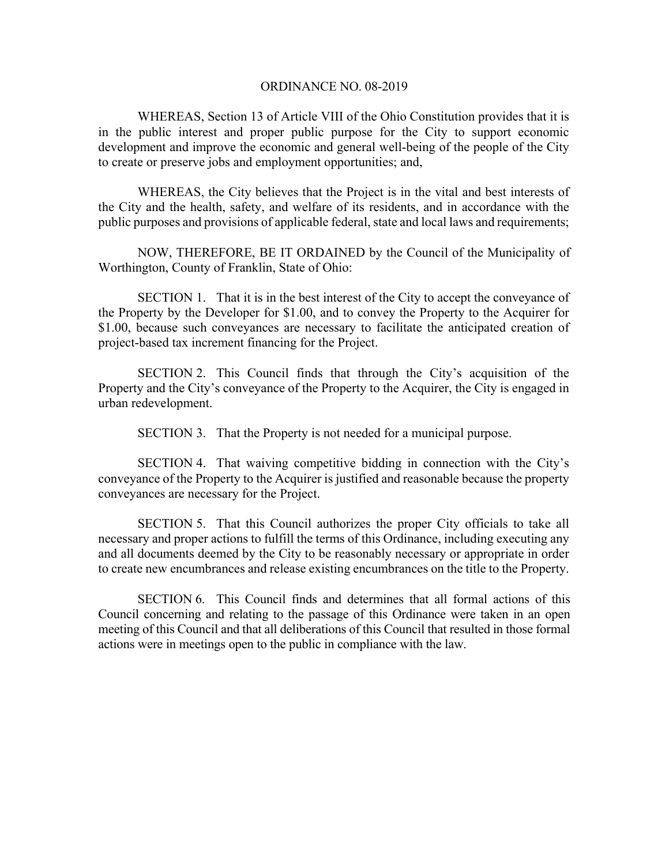### ORDINANCE NO. 08-2019

 WHEREAS, Section 13 of Article VIII of the Ohio Constitution provides that it is in the public interest and proper public purpose for the City to support economic development and improve the economic and general well-being of the people of the City to create or preserve jobs and employment opportunities; and,

 WHEREAS, the City believes that the Project is in the vital and best interests of the City and the health, safety, and welfare of its residents, and in accordance with the public purposes and provisions of applicable federal, state and local laws and requirements;

 NOW, THEREFORE, BE IT ORDAINED by the Council of the Municipality of Worthington, County of Franklin, State of Ohio:

 SECTION 1. That it is in the best interest of the City to accept the conveyance of the Property by the Developer for \$1.00, and to convey the Property to the Acquirer for \$1.00, because such conveyances are necessary to facilitate the anticipated creation of project-based tax increment financing for the Project.

 SECTION 2. This Council finds that through the City's acquisition of the Property and the City's conveyance of the Property to the Acquirer, the City is engaged in urban redevelopment.

SECTION 3. That the Property is not needed for a municipal purpose.

 SECTION 4. That waiving competitive bidding in connection with the City's conveyance of the Property to the Acquirer is justified and reasonable because the property conveyances are necessary for the Project.

 SECTION 5. That this Council authorizes the proper City officials to take all necessary and proper actions to fulfill the terms of this Ordinance, including executing any and all documents deemed by the City to be reasonably necessary or appropriate in order to create new encumbrances and release existing encumbrances on the title to the Property.

 SECTION 6. This Council finds and determines that all formal actions of this Council concerning and relating to the passage of this Ordinance were taken in an open meeting of this Council and that all deliberations of this Council that resulted in those formal actions were in meetings open to the public in compliance with the law.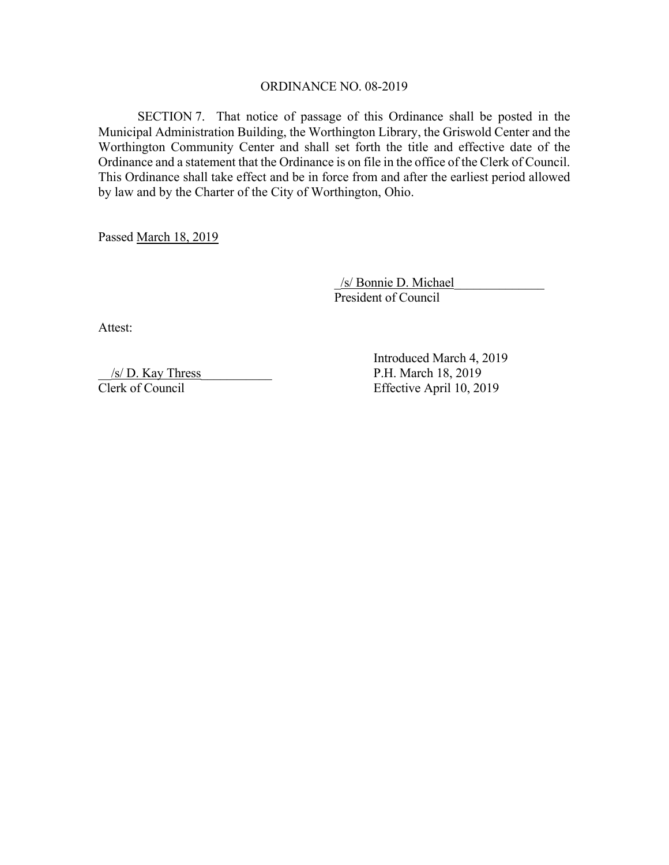## ORDINANCE NO. 08-2019

SECTION 7. That notice of passage of this Ordinance shall be posted in the Municipal Administration Building, the Worthington Library, the Griswold Center and the Worthington Community Center and shall set forth the title and effective date of the Ordinance and a statement that the Ordinance is on file in the office of the Clerk of Council. This Ordinance shall take effect and be in force from and after the earliest period allowed by law and by the Charter of the City of Worthington, Ohio.

Passed March 18, 2019

 \_/s/ Bonnie D. Michael\_\_\_\_\_\_\_\_\_\_\_\_\_\_ President of Council

Attest:

 $\frac{s}{D}$ . Kay Thress P.H. March 18, 2019 Clerk of Council Effective April 10, 2019

Introduced March 4, 2019